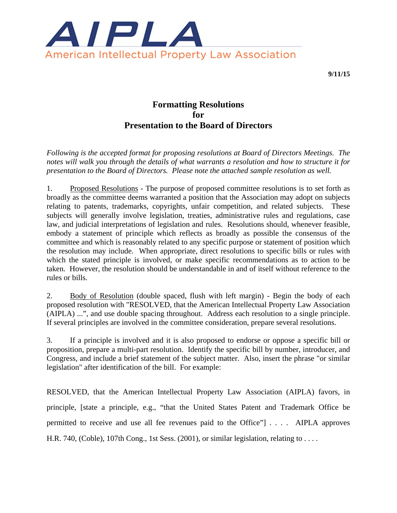

**9/11/15** 

# **Formatting Resolutions for Presentation to the Board of Directors**

*Following is the accepted format for proposing resolutions at Board of Directors Meetings. The notes will walk you through the details of what warrants a resolution and how to structure it for presentation to the Board of Directors. Please note the attached sample resolution as well.*

1. Proposed Resolutions - The purpose of proposed committee resolutions is to set forth as broadly as the committee deems warranted a position that the Association may adopt on subjects relating to patents, trademarks, copyrights, unfair competition, and related subjects. These subjects will generally involve legislation, treaties, administrative rules and regulations, case law, and judicial interpretations of legislation and rules. Resolutions should, whenever feasible, embody a statement of principle which reflects as broadly as possible the consensus of the committee and which is reasonably related to any specific purpose or statement of position which the resolution may include. When appropriate, direct resolutions to specific bills or rules with which the stated principle is involved, or make specific recommendations as to action to be taken. However, the resolution should be understandable in and of itself without reference to the rules or bills.

2. Body of Resolution (double spaced, flush with left margin) - Begin the body of each proposed resolution with "RESOLVED, that the American Intellectual Property Law Association (AIPLA) ...", and use double spacing throughout. Address each resolution to a single principle. If several principles are involved in the committee consideration, prepare several resolutions.

3. If a principle is involved and it is also proposed to endorse or oppose a specific bill or proposition, prepare a multi-part resolution. Identify the specific bill by number, introducer, and Congress, and include a brief statement of the subject matter. Also, insert the phrase "or similar legislation" after identification of the bill. For example:

RESOLVED, that the American Intellectual Property Law Association (AIPLA) favors, in principle, [state a principle, e.g., "that the United States Patent and Trademark Office be permitted to receive and use all fee revenues paid to the Office"] . . . . AIPLA approves H.R. 740, (Coble), 107th Cong., 1st Sess. (2001), or similar legislation, relating to ...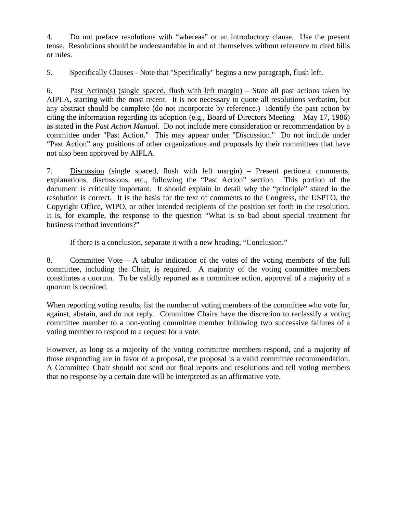4. Do not preface resolutions with "whereas" or an introductory clause. Use the present tense. Resolutions should be understandable in and of themselves without reference to cited bills or rules.

5. Specifically Clauses - Note that "Specifically" begins a new paragraph, flush left.

6. Past Action(s) (single spaced, flush with left margin) – State all past actions taken by AIPLA, starting with the most recent. It is not necessary to quote all resolutions verbatim, but any abstract should be complete (do not incorporate by reference.) Identify the past action by citing the information regarding its adoption (e.g., Board of Directors Meeting – May 17, 1986) as stated in the *Past Action Manual*. Do not include mere consideration or recommendation by a committee under "Past Action." This may appear under "Discussion." Do not include under "Past Action" any positions of other organizations and proposals by their committees that have not also been approved by AIPLA.

7. Discussion (single spaced, flush with left margin) – Present pertinent comments, explanations, discussions, etc., following the "Past Action" section. This portion of the document is critically important. It should explain in detail why the "principle" stated in the resolution is correct. It is the basis for the text of comments to the Congress, the USPTO, the Copyright Office, WIPO, or other intended recipients of the position set forth in the resolution. It is, for example, the response to the question "What is so bad about special treatment for business method inventions?"

If there is a conclusion, separate it with a new heading, "Conclusion."

8. Committee Vote – A tabular indication of the votes of the voting members of the full committee, including the Chair, is required. A majority of the voting committee members constitutes a quorum. To be validly reported as a committee action, approval of a majority of a quorum is required.

When reporting voting results, list the number of voting members of the committee who vote for, against, abstain, and do not reply. Committee Chairs have the discretion to reclassify a voting committee member to a non-voting committee member following two successive failures of a voting member to respond to a request for a vote.

However, as long as a majority of the voting committee members respond, and a majority of those responding are in favor of a proposal, the proposal is a valid committee recommendation. A Committee Chair should not send out final reports and resolutions and tell voting members that no response by a certain date will be interpreted as an affirmative vote.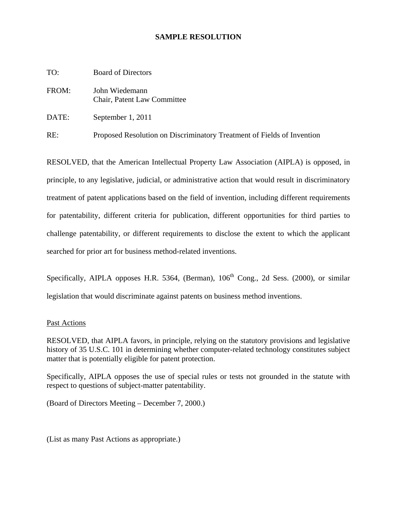## **SAMPLE RESOLUTION**

| TO:   | <b>Board of Directors</b>                                              |
|-------|------------------------------------------------------------------------|
| FROM: | John Wiedemann<br>Chair, Patent Law Committee                          |
| DATE: | September 1, 2011                                                      |
| RE:   | Proposed Resolution on Discriminatory Treatment of Fields of Invention |

RESOLVED, that the American Intellectual Property Law Association (AIPLA) is opposed, in principle, to any legislative, judicial, or administrative action that would result in discriminatory treatment of patent applications based on the field of invention, including different requirements for patentability, different criteria for publication, different opportunities for third parties to challenge patentability, or different requirements to disclose the extent to which the applicant searched for prior art for business method-related inventions.

Specifically, AIPLA opposes H.R. 5364, (Berman),  $106<sup>th</sup>$  Cong., 2d Sess. (2000), or similar legislation that would discriminate against patents on business method inventions.

#### Past Actions

RESOLVED, that AIPLA favors, in principle, relying on the statutory provisions and legislative history of 35 U.S.C. 101 in determining whether computer-related technology constitutes subject matter that is potentially eligible for patent protection.

Specifically, AIPLA opposes the use of special rules or tests not grounded in the statute with respect to questions of subject-matter patentability.

(Board of Directors Meeting – December 7, 2000.)

(List as many Past Actions as appropriate.)